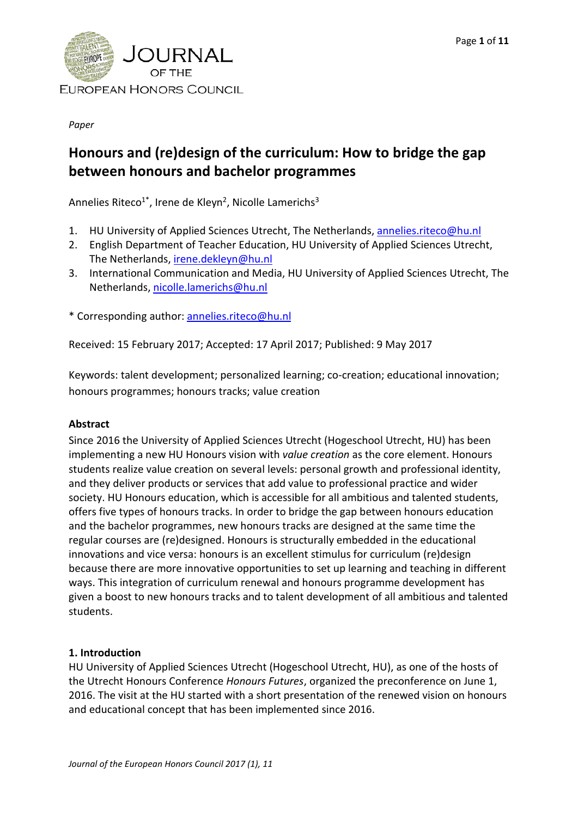

*Paper*

# **Honours and (re)design of the curriculum: How to bridge the gap between honours and bachelor programmes**

Annelies Riteco<sup>1\*</sup>, Irene de Kleyn<sup>2</sup>, Nicolle Lamerichs<sup>3</sup>

- 1. HU University of Applied Sciences Utrecht, The Netherlands, [annelies.riteco@hu.nl](mailto:annelies.riteco@hu.nl)
- 2. English Department of Teacher Education, HU University of Applied Sciences Utrecht, The Netherlands, [irene.dekleyn@hu.nl](mailto:irene.dekleyn@hu.nl)
- 3. International Communication and Media, HU University of Applied Sciences Utrecht, The Netherlands, [nicolle.lamerichs@hu.nl](mailto:nicolle.lamerichs@hu.nl)

\* Corresponding author: [annelies.riteco@hu.nl](mailto:annelies.riteco@hu.nl)

Received: 15 February 2017; Accepted: 17 April 2017; Published: 9 May 2017

Keywords: talent development; personalized learning; co-creation; educational innovation; honours programmes; honours tracks; value creation

## **Abstract**

Since 2016 the University of Applied Sciences Utrecht (Hogeschool Utrecht, HU) has been implementing a new HU Honours vision with *value creation* as the core element. Honours students realize value creation on several levels: personal growth and professional identity, and they deliver products or services that add value to professional practice and wider society. HU Honours education, which is accessible for all ambitious and talented students, offers five types of honours tracks. In order to bridge the gap between honours education and the bachelor programmes, new honours tracks are designed at the same time the regular courses are (re)designed. Honours is structurally embedded in the educational innovations and vice versa: honours is an excellent stimulus for curriculum (re)design because there are more innovative opportunities to set up learning and teaching in different ways. This integration of curriculum renewal and honours programme development has given a boost to new honours tracks and to talent development of all ambitious and talented students.

## **1. Introduction**

HU University of Applied Sciences Utrecht (Hogeschool Utrecht, HU), as one of the hosts of the Utrecht Honours Conference *Honours Futures*, organized the preconference on June 1, 2016. The visit at the HU started with a short presentation of the renewed vision on honours and educational concept that has been implemented since 2016.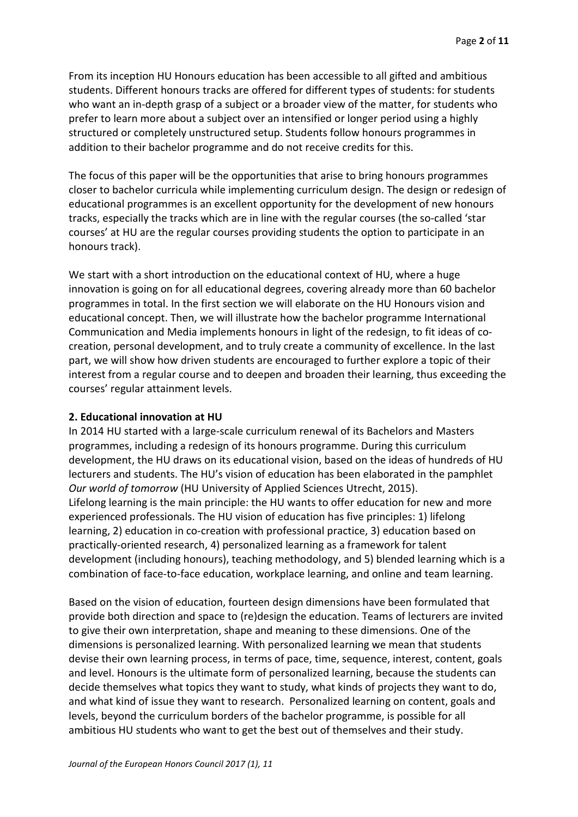From its inception HU Honours education has been accessible to all gifted and ambitious students. Different honours tracks are offered for different types of students: for students who want an in-depth grasp of a subject or a broader view of the matter, for students who prefer to learn more about a subject over an intensified or longer period using a highly structured or completely unstructured setup. Students follow honours programmes in addition to their bachelor programme and do not receive credits for this.

The focus of this paper will be the opportunities that arise to bring honours programmes closer to bachelor curricula while implementing curriculum design. The design or redesign of educational programmes is an excellent opportunity for the development of new honours tracks, especially the tracks which are in line with the regular courses (the so-called 'star courses' at HU are the regular courses providing students the option to participate in an honours track).

We start with a short introduction on the educational context of HU, where a huge innovation is going on for all educational degrees, covering already more than 60 bachelor programmes in total. In the first section we will elaborate on the HU Honours vision and educational concept. Then, we will illustrate how the bachelor programme International Communication and Media implements honours in light of the redesign, to fit ideas of cocreation, personal development, and to truly create a community of excellence. In the last part, we will show how driven students are encouraged to further explore a topic of their interest from a regular course and to deepen and broaden their learning, thus exceeding the courses' regular attainment levels.

#### **2. Educational innovation at HU**

In 2014 HU started with a large-scale curriculum renewal of its Bachelors and Masters programmes, including a redesign of its honours programme. During this curriculum development, the HU draws on its educational vision, based on the ideas of hundreds of HU lecturers and students. The HU's vision of education has been elaborated in the pamphlet *Our world of tomorrow* (HU University of Applied Sciences Utrecht, 2015). Lifelong learning is the main principle: the HU wants to offer education for new and more experienced professionals. The HU vision of education has five principles: 1) lifelong learning, 2) education in co-creation with professional practice, 3) education based on practically-oriented research, 4) personalized learning as a framework for talent development (including honours), teaching methodology, and 5) blended learning which is a combination of face-to-face education, workplace learning, and online and team learning.

Based on the vision of education, fourteen design dimensions have been formulated that provide both direction and space to (re)design the education. Teams of lecturers are invited to give their own interpretation, shape and meaning to these dimensions. One of the dimensions is personalized learning. With personalized learning we mean that students devise their own learning process, in terms of pace, time, sequence, interest, content, goals and level. Honours is the ultimate form of personalized learning, because the students can decide themselves what topics they want to study, what kinds of projects they want to do, and what kind of issue they want to research. Personalized learning on content, goals and levels, beyond the curriculum borders of the bachelor programme, is possible for all ambitious HU students who want to get the best out of themselves and their study.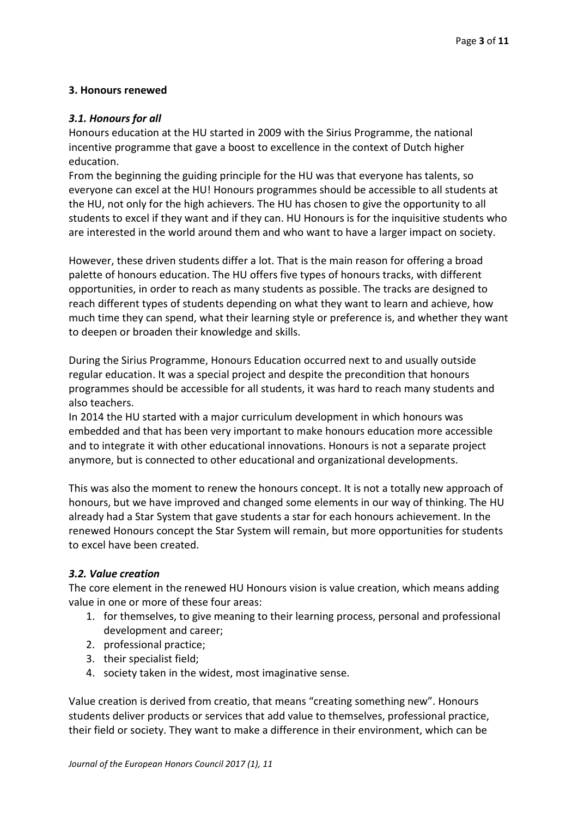# **3. Honours renewed**

## *3.1. Honours for all*

Honours education at the HU started in 2009 with the Sirius Programme, the national incentive programme that gave a boost to excellence in the context of Dutch higher education.

From the beginning the guiding principle for the HU was that everyone has talents, so everyone can excel at the HU! Honours programmes should be accessible to all students at the HU, not only for the high achievers. The HU has chosen to give the opportunity to all students to excel if they want and if they can. HU Honours is for the inquisitive students who are interested in the world around them and who want to have a larger impact on society.

However, these driven students differ a lot. That is the main reason for offering a broad palette of honours education. The HU offers five types of honours tracks, with different opportunities, in order to reach as many students as possible. The tracks are designed to reach different types of students depending on what they want to learn and achieve, how much time they can spend, what their learning style or preference is, and whether they want to deepen or broaden their knowledge and skills.

During the Sirius Programme, Honours Education occurred next to and usually outside regular education. It was a special project and despite the precondition that honours programmes should be accessible for all students, it was hard to reach many students and also teachers.

In 2014 the HU started with a major curriculum development in which honours was embedded and that has been very important to make honours education more accessible and to integrate it with other educational innovations. Honours is not a separate project anymore, but is connected to other educational and organizational developments.

This was also the moment to renew the honours concept. It is not a totally new approach of honours, but we have improved and changed some elements in our way of thinking. The HU already had a Star System that gave students a star for each honours achievement. In the renewed Honours concept the Star System will remain, but more opportunities for students to excel have been created.

# *3.2. Value creation*

The core element in the renewed HU Honours vision is value creation, which means adding value in one or more of these four areas:

- 1. for themselves, to give meaning to their learning process, personal and professional development and career;
- 2. professional practice;
- 3. their specialist field;
- 4. society taken in the widest, most imaginative sense.

Value creation is derived from creatio, that means "creating something new". Honours students deliver products or services that add value to themselves, professional practice, their field or society. They want to make a difference in their environment, which can be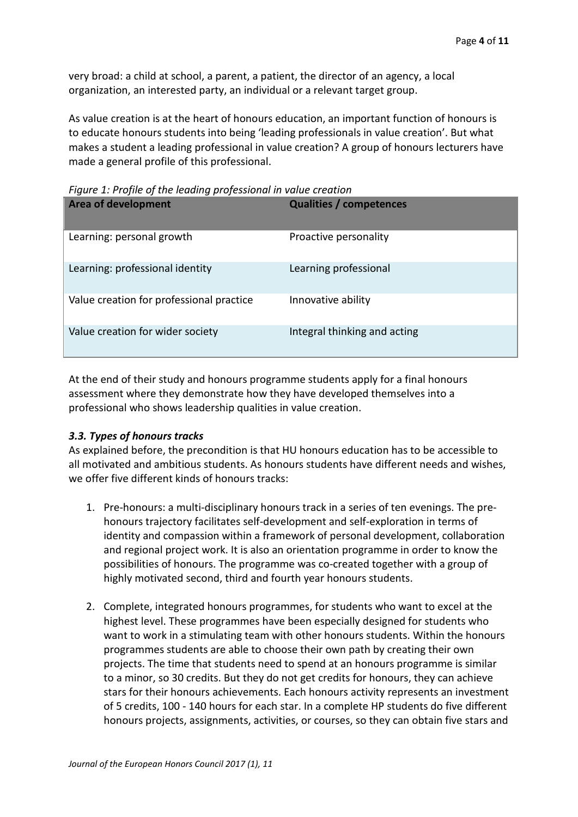very broad: a child at school, a parent, a patient, the director of an agency, a local organization, an interested party, an individual or a relevant target group.

As value creation is at the heart of honours education, an important function of honours is to educate honours students into being 'leading professionals in value creation'. But what makes a student a leading professional in value creation? A group of honours lecturers have made a general profile of this professional.

**Area of development Qualities / competences** Learning: personal growth Proactive personality Learning: professional identity Learning professional Value creation for professional practice Innovative ability Value creation for wider society **Integral thinking and acting** 

*Figure 1: Profile of the leading professional in value creation*

At the end of their study and honours programme students apply for a final honours assessment where they demonstrate how they have developed themselves into a professional who shows leadership qualities in value creation.

## *3.3. Types of honours tracks*

As explained before, the precondition is that HU honours education has to be accessible to all motivated and ambitious students. As honours students have different needs and wishes, we offer five different kinds of honours tracks:

- 1. Pre-honours: a multi-disciplinary honours track in a series of ten evenings. The prehonours trajectory facilitates self-development and self-exploration in terms of identity and compassion within a framework of personal development, collaboration and regional project work. It is also an orientation programme in order to know the possibilities of honours. The programme was co-created together with a group of highly motivated second, third and fourth year honours students.
- 2. Complete, integrated honours programmes, for students who want to excel at the highest level. These programmes have been especially designed for students who want to work in a stimulating team with other honours students. Within the honours programmes students are able to choose their own path by creating their own projects. The time that students need to spend at an honours programme is similar to a minor, so 30 credits. But they do not get credits for honours, they can achieve stars for their honours achievements. Each honours activity represents an investment of 5 credits, 100 - 140 hours for each star. In a complete HP students do five different honours projects, assignments, activities, or courses, so they can obtain five stars and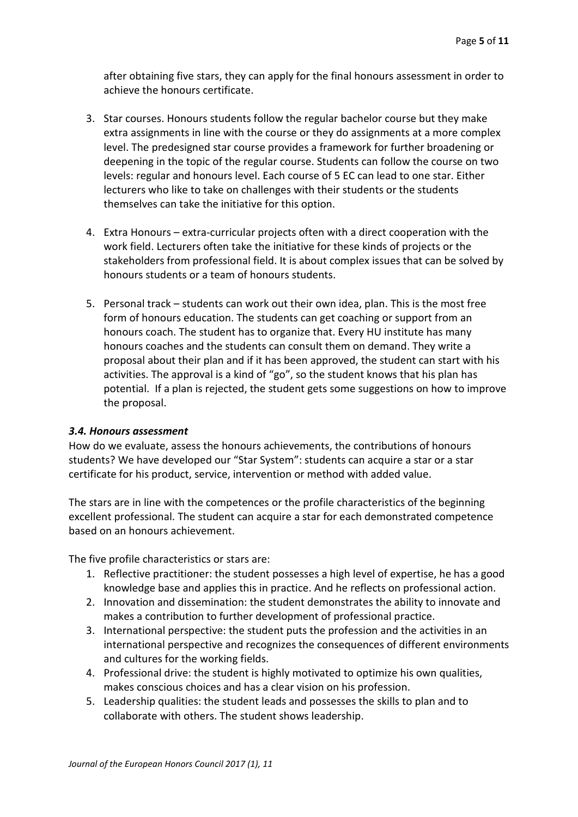after obtaining five stars, they can apply for the final honours assessment in order to achieve the honours certificate.

- 3. Star courses. Honours students follow the regular bachelor course but they make extra assignments in line with the course or they do assignments at a more complex level. The predesigned star course provides a framework for further broadening or deepening in the topic of the regular course. Students can follow the course on two levels: regular and honours level. Each course of 5 EC can lead to one star. Either lecturers who like to take on challenges with their students or the students themselves can take the initiative for this option.
- 4. Extra Honours extra-curricular projects often with a direct cooperation with the work field. Lecturers often take the initiative for these kinds of projects or the stakeholders from professional field. It is about complex issues that can be solved by honours students or a team of honours students.
- 5. Personal track students can work out their own idea, plan. This is the most free form of honours education. The students can get coaching or support from an honours coach. The student has to organize that. Every HU institute has many honours coaches and the students can consult them on demand. They write a proposal about their plan and if it has been approved, the student can start with his activities. The approval is a kind of "go", so the student knows that his plan has potential. If a plan is rejected, the student gets some suggestions on how to improve the proposal.

## *3.4. Honours assessment*

How do we evaluate, assess the honours achievements, the contributions of honours students? We have developed our "Star System": students can acquire a star or a star certificate for his product, service, intervention or method with added value.

The stars are in line with the competences or the profile characteristics of the beginning excellent professional. The student can acquire a star for each demonstrated competence based on an honours achievement.

The five profile characteristics or stars are:

- 1. Reflective practitioner: the student possesses a high level of expertise, he has a good knowledge base and applies this in practice. And he reflects on professional action.
- 2. Innovation and dissemination: the student demonstrates the ability to innovate and makes a contribution to further development of professional practice.
- 3. International perspective: the student puts the profession and the activities in an international perspective and recognizes the consequences of different environments and cultures for the working fields.
- 4. Professional drive: the student is highly motivated to optimize his own qualities, makes conscious choices and has a clear vision on his profession.
- 5. Leadership qualities: the student leads and possesses the skills to plan and to collaborate with others. The student shows leadership.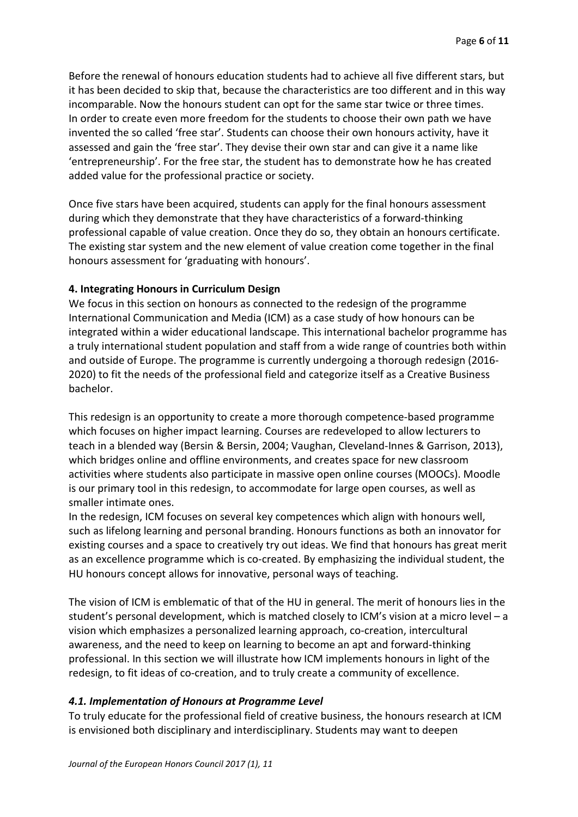Before the renewal of honours education students had to achieve all five different stars, but it has been decided to skip that, because the characteristics are too different and in this way incomparable. Now the honours student can opt for the same star twice or three times. In order to create even more freedom for the students to choose their own path we have invented the so called 'free star'. Students can choose their own honours activity, have it assessed and gain the 'free star'. They devise their own star and can give it a name like 'entrepreneurship'. For the free star, the student has to demonstrate how he has created added value for the professional practice or society.

Once five stars have been acquired, students can apply for the final honours assessment during which they demonstrate that they have characteristics of a forward-thinking professional capable of value creation. Once they do so, they obtain an honours certificate. The existing star system and the new element of value creation come together in the final honours assessment for 'graduating with honours'.

## **4. Integrating Honours in Curriculum Design**

We focus in this section on honours as connected to the redesign of the programme International Communication and Media (ICM) as a case study of how honours can be integrated within a wider educational landscape. This international bachelor programme has a truly international student population and staff from a wide range of countries both within and outside of Europe. The programme is currently undergoing a thorough redesign (2016- 2020) to fit the needs of the professional field and categorize itself as a Creative Business bachelor.

This redesign is an opportunity to create a more thorough competence-based programme which focuses on higher impact learning. Courses are redeveloped to allow lecturers to teach in a blended way (Bersin & Bersin, 2004; Vaughan, Cleveland-Innes & Garrison, 2013), which bridges online and offline environments, and creates space for new classroom activities where students also participate in massive open online courses (MOOCs). Moodle is our primary tool in this redesign, to accommodate for large open courses, as well as smaller intimate ones.

In the redesign, ICM focuses on several key competences which align with honours well, such as lifelong learning and personal branding. Honours functions as both an innovator for existing courses and a space to creatively try out ideas. We find that honours has great merit as an excellence programme which is co-created. By emphasizing the individual student, the HU honours concept allows for innovative, personal ways of teaching.

The vision of ICM is emblematic of that of the HU in general. The merit of honours lies in the student's personal development, which is matched closely to ICM's vision at a micro level – a vision which emphasizes a personalized learning approach, co-creation, intercultural awareness, and the need to keep on learning to become an apt and forward-thinking professional. In this section we will illustrate how ICM implements honours in light of the redesign, to fit ideas of co-creation, and to truly create a community of excellence.

## *4.1. Implementation of Honours at Programme Level*

To truly educate for the professional field of creative business, the honours research at ICM is envisioned both disciplinary and interdisciplinary. Students may want to deepen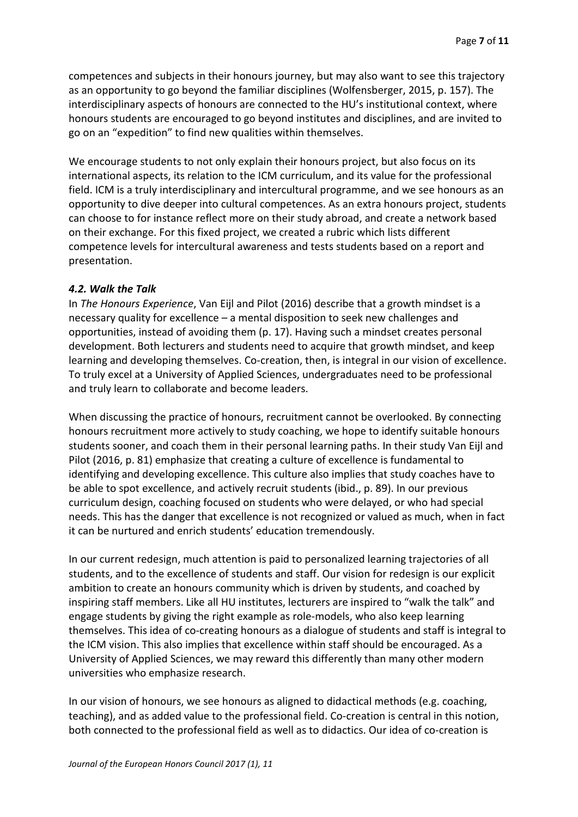competences and subjects in their honours journey, but may also want to see this trajectory as an opportunity to go beyond the familiar disciplines (Wolfensberger, 2015, p. 157). The interdisciplinary aspects of honours are connected to the HU's institutional context, where honours students are encouraged to go beyond institutes and disciplines, and are invited to go on an "expedition" to find new qualities within themselves.

We encourage students to not only explain their honours project, but also focus on its international aspects, its relation to the ICM curriculum, and its value for the professional field. ICM is a truly interdisciplinary and intercultural programme, and we see honours as an opportunity to dive deeper into cultural competences. As an extra honours project, students can choose to for instance reflect more on their study abroad, and create a network based on their exchange. For this fixed project, we created a rubric which lists different competence levels for intercultural awareness and tests students based on a report and presentation.

#### *4.2. Walk the Talk*

In *The Honours Experience*, Van Eijl and Pilot (2016) describe that a growth mindset is a necessary quality for excellence – a mental disposition to seek new challenges and opportunities, instead of avoiding them (p. 17). Having such a mindset creates personal development. Both lecturers and students need to acquire that growth mindset, and keep learning and developing themselves. Co-creation, then, is integral in our vision of excellence. To truly excel at a University of Applied Sciences, undergraduates need to be professional and truly learn to collaborate and become leaders.

When discussing the practice of honours, recruitment cannot be overlooked. By connecting honours recruitment more actively to study coaching, we hope to identify suitable honours students sooner, and coach them in their personal learning paths. In their study Van Eijl and Pilot (2016, p. 81) emphasize that creating a culture of excellence is fundamental to identifying and developing excellence. This culture also implies that study coaches have to be able to spot excellence, and actively recruit students (ibid., p. 89). In our previous curriculum design, coaching focused on students who were delayed, or who had special needs. This has the danger that excellence is not recognized or valued as much, when in fact it can be nurtured and enrich students' education tremendously.

In our current redesign, much attention is paid to personalized learning trajectories of all students, and to the excellence of students and staff. Our vision for redesign is our explicit ambition to create an honours community which is driven by students, and coached by inspiring staff members. Like all HU institutes, lecturers are inspired to "walk the talk" and engage students by giving the right example as role-models, who also keep learning themselves. This idea of co-creating honours as a dialogue of students and staff is integral to the ICM vision. This also implies that excellence within staff should be encouraged. As a University of Applied Sciences, we may reward this differently than many other modern universities who emphasize research.

In our vision of honours, we see honours as aligned to didactical methods (e.g. coaching, teaching), and as added value to the professional field. Co-creation is central in this notion, both connected to the professional field as well as to didactics. Our idea of co-creation is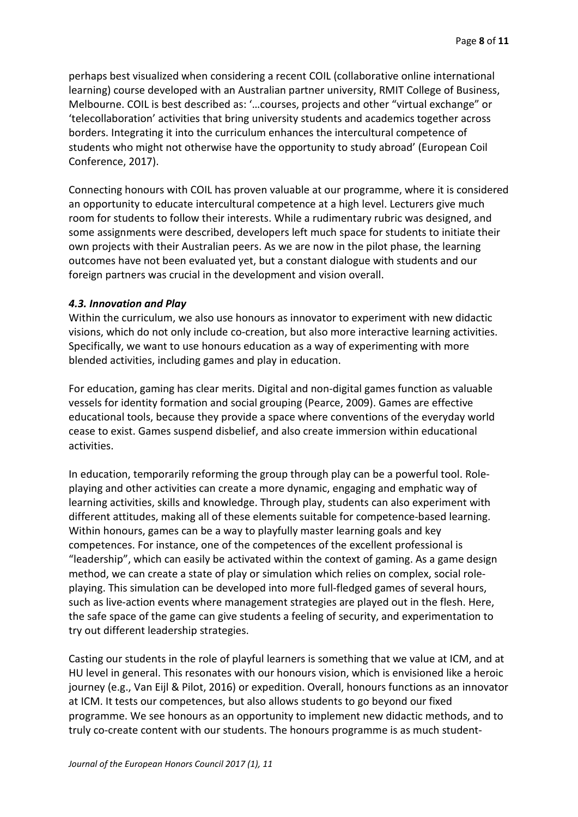perhaps best visualized when considering a recent COIL (collaborative online international learning) course developed with an Australian partner university, RMIT College of Business, Melbourne. COIL is best described as: '…courses, projects and other "virtual exchange" or 'telecollaboration' activities that bring university students and academics together across borders. Integrating it into the curriculum enhances the intercultural competence of students who might not otherwise have the opportunity to study abroad' (European Coil Conference, 2017).

Connecting honours with COIL has proven valuable at our programme, where it is considered an opportunity to educate intercultural competence at a high level. Lecturers give much room for students to follow their interests. While a rudimentary rubric was designed, and some assignments were described, developers left much space for students to initiate their own projects with their Australian peers. As we are now in the pilot phase, the learning outcomes have not been evaluated yet, but a constant dialogue with students and our foreign partners was crucial in the development and vision overall.

## *4.3. Innovation and Play*

Within the curriculum, we also use honours as innovator to experiment with new didactic visions, which do not only include co-creation, but also more interactive learning activities. Specifically, we want to use honours education as a way of experimenting with more blended activities, including games and play in education.

For education, gaming has clear merits. Digital and non-digital games function as valuable vessels for identity formation and social grouping (Pearce, 2009). Games are effective educational tools, because they provide a space where conventions of the everyday world cease to exist. Games suspend disbelief, and also create immersion within educational activities.

In education, temporarily reforming the group through play can be a powerful tool. Roleplaying and other activities can create a more dynamic, engaging and emphatic way of learning activities, skills and knowledge. Through play, students can also experiment with different attitudes, making all of these elements suitable for competence-based learning. Within honours, games can be a way to playfully master learning goals and key competences. For instance, one of the competences of the excellent professional is "leadership", which can easily be activated within the context of gaming. As a game design method, we can create a state of play or simulation which relies on complex, social roleplaying. This simulation can be developed into more full-fledged games of several hours, such as live-action events where management strategies are played out in the flesh. Here, the safe space of the game can give students a feeling of security, and experimentation to try out different leadership strategies.

Casting our students in the role of playful learners is something that we value at ICM, and at HU level in general. This resonates with our honours vision, which is envisioned like a heroic journey (e.g., Van Eijl & Pilot, 2016) or expedition. Overall, honours functions as an innovator at ICM. It tests our competences, but also allows students to go beyond our fixed programme. We see honours as an opportunity to implement new didactic methods, and to truly co-create content with our students. The honours programme is as much student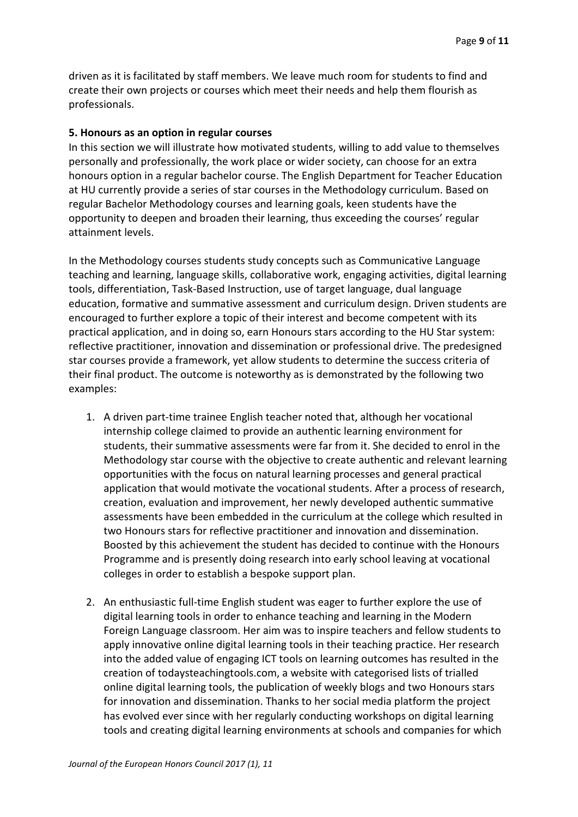driven as it is facilitated by staff members. We leave much room for students to find and create their own projects or courses which meet their needs and help them flourish as professionals.

#### **5. Honours as an option in regular courses**

In this section we will illustrate how motivated students, willing to add value to themselves personally and professionally, the work place or wider society, can choose for an extra honours option in a regular bachelor course. The English Department for Teacher Education at HU currently provide a series of star courses in the Methodology curriculum. Based on regular Bachelor Methodology courses and learning goals, keen students have the opportunity to deepen and broaden their learning, thus exceeding the courses' regular attainment levels.

In the Methodology courses students study concepts such as Communicative Language teaching and learning, language skills, collaborative work, engaging activities, digital learning tools, differentiation, Task-Based Instruction, use of target language, dual language education, formative and summative assessment and curriculum design. Driven students are encouraged to further explore a topic of their interest and become competent with its practical application, and in doing so, earn Honours stars according to the HU Star system: reflective practitioner, innovation and dissemination or professional drive. The predesigned star courses provide a framework, yet allow students to determine the success criteria of their final product. The outcome is noteworthy as is demonstrated by the following two examples:

- 1. A driven part-time trainee English teacher noted that, although her vocational internship college claimed to provide an authentic learning environment for students, their summative assessments were far from it. She decided to enrol in the Methodology star course with the objective to create authentic and relevant learning opportunities with the focus on natural learning processes and general practical application that would motivate the vocational students. After a process of research, creation, evaluation and improvement, her newly developed authentic summative assessments have been embedded in the curriculum at the college which resulted in two Honours stars for reflective practitioner and innovation and dissemination. Boosted by this achievement the student has decided to continue with the Honours Programme and is presently doing research into early school leaving at vocational colleges in order to establish a bespoke support plan.
- 2. An enthusiastic full-time English student was eager to further explore the use of digital learning tools in order to enhance teaching and learning in the Modern Foreign Language classroom. Her aim was to inspire teachers and fellow students to apply innovative online digital learning tools in their teaching practice. Her research into the added value of engaging ICT tools on learning outcomes has resulted in the creation of todaysteachingtools.com, a website with categorised lists of trialled online digital learning tools, the publication of weekly blogs and two Honours stars for innovation and dissemination. Thanks to her social media platform the project has evolved ever since with her regularly conducting workshops on digital learning tools and creating digital learning environments at schools and companies for which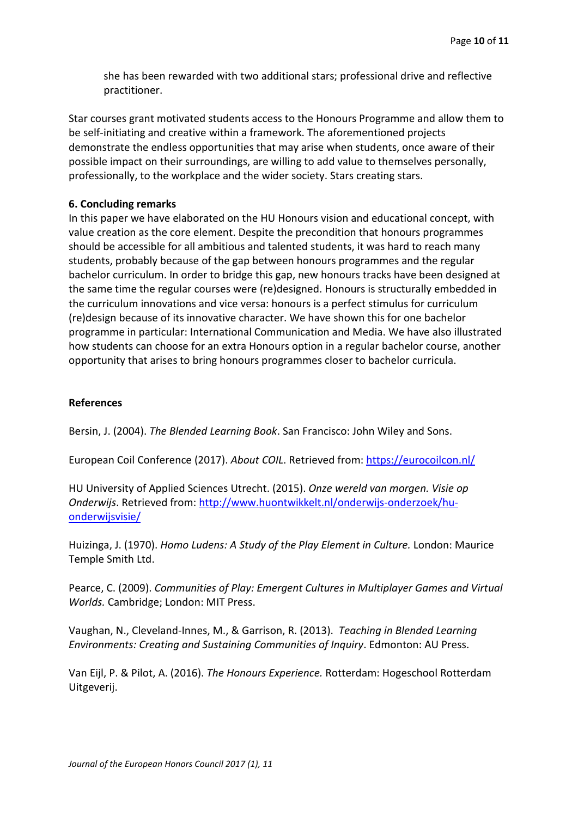she has been rewarded with two additional stars; professional drive and reflective practitioner.

Star courses grant motivated students access to the Honours Programme and allow them to be self-initiating and creative within a framework. The aforementioned projects demonstrate the endless opportunities that may arise when students, once aware of their possible impact on their surroundings, are willing to add value to themselves personally, professionally, to the workplace and the wider society. Stars creating stars.

## **6. Concluding remarks**

In this paper we have elaborated on the HU Honours vision and educational concept, with value creation as the core element. Despite the precondition that honours programmes should be accessible for all ambitious and talented students, it was hard to reach many students, probably because of the gap between honours programmes and the regular bachelor curriculum. In order to bridge this gap, new honours tracks have been designed at the same time the regular courses were (re)designed. Honours is structurally embedded in the curriculum innovations and vice versa: honours is a perfect stimulus for curriculum (re)design because of its innovative character. We have shown this for one bachelor programme in particular: International Communication and Media. We have also illustrated how students can choose for an extra Honours option in a regular bachelor course, another opportunity that arises to bring honours programmes closer to bachelor curricula.

# **References**

Bersin, J. (2004). *The Blended Learning Book*. San Francisco: John Wiley and Sons.

European Coil Conference (2017). *About COIL*. Retrieved from: <https://eurocoilcon.nl/>

HU University of Applied Sciences Utrecht. (2015). *Onze wereld van morgen. Visie op Onderwijs*. Retrieved from: [http://www.huontwikkelt.nl/onderwijs-onderzoek/hu](http://www.huontwikkelt.nl/onderwijs-onderzoek/hu-onderwijsvisie/)[onderwijsvisie/](http://www.huontwikkelt.nl/onderwijs-onderzoek/hu-onderwijsvisie/)

Huizinga, J. (1970). *Homo Ludens: A Study of the Play Element in Culture.* London: Maurice Temple Smith Ltd.

Pearce, C. (2009). *Communities of Play: Emergent Cultures in Multiplayer Games and Virtual Worlds.* Cambridge; London: MIT Press.

Vaughan, N., Cleveland-Innes, M., & Garrison, R. (2013). *Teaching in Blended Learning Environments: Creating and Sustaining Communities of Inquiry*. Edmonton: AU Press.

Van Eijl, P. & Pilot, A. (2016). *The Honours Experience.* Rotterdam: Hogeschool Rotterdam Uitgeverij.